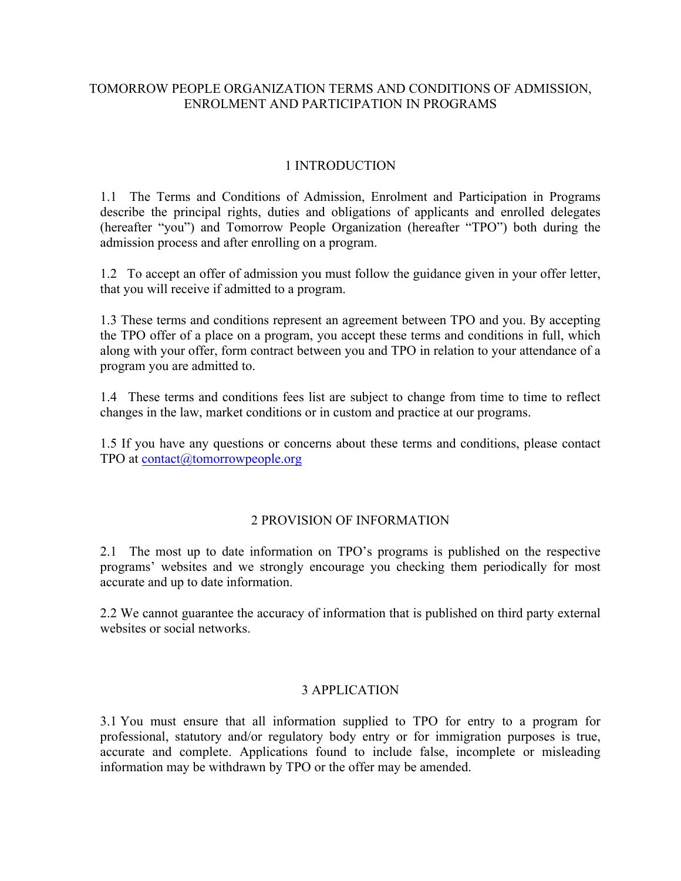# TOMORROW PEOPLE ORGANIZATION TERMS AND CONDITIONS OF ADMISSION, ENROLMENT AND PARTICIPATION IN PROGRAMS

## 1 INTRODUCTION

1.1 The Terms and Conditions of Admission, Enrolment and Participation in Programs describe the principal rights, duties and obligations of applicants and enrolled delegates (hereafter "you") and Tomorrow People Organization (hereafter "TPO") both during the admission process and after enrolling on a program.

1.2 To accept an offer of admission you must follow the guidance given in your offer letter, that you will receive if admitted to a program.

1.3 These terms and conditions represent an agreement between TPO and you. By accepting the TPO offer of a place on a program, you accept these terms and conditions in full, which along with your offer, form contract between you and TPO in relation to your attendance of a program you are admitted to.

1.4 These terms and conditions fees list are subject to change from time to time to reflect changes in the law, market conditions or in custom and practice at our programs.

1.5 If you have any questions or concerns about these terms and conditions, please contact TPO at contact@tomorrowpeople.org

## 2 PROVISION OF INFORMATION

2.1 The most up to date information on TPO's programs is published on the respective programs' websites and we strongly encourage you checking them periodically for most accurate and up to date information.

2.2 We cannot guarantee the accuracy of information that is published on third party external websites or social networks.

## 3 APPLICATION

3.1 You must ensure that all information supplied to TPO for entry to a program for professional, statutory and/or regulatory body entry or for immigration purposes is true, accurate and complete. Applications found to include false, incomplete or misleading information may be withdrawn by TPO or the offer may be amended.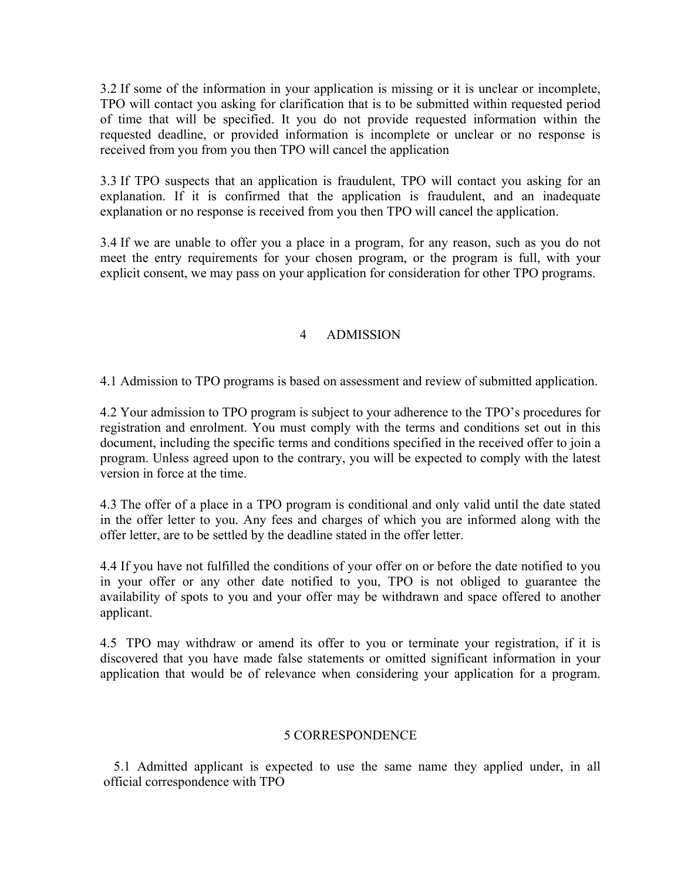3.2 If some of the information in your application is missing or it is unclear or incomplete, TPO will contact you asking for clarification that is to be submitted within requested period of time that will be specified. It you do not provide requested information within the requested deadline, or provided information is incomplete or unclear or no response is received from you from you then TPO will cancel the application

3.3 If TPO suspects that an application is fraudulent, TPO will contact you asking for an explanation. If it is confirmed that the application is fraudulent, and an inadequate explanation or no response is received from you then TPO will cancel the application.

3.4 If we are unable to offer you a place in a program, for any reason, such as you do not meet the entry requirements for your chosen program, or the program is full, with your explicit consent, we may pass on your application for consideration for other TPO programs.

# 4 ADMISSION

4.1 Admission to TPO programs is based on assessment and review of submitted application.

4.2 Your admission to TPO program is subject to your adherence to the TPO's procedures for registration and enrolment. You must comply with the terms and conditions set out in this document, including the specific terms and conditions specified in the received offer to join a program. Unless agreed upon to the contrary, you will be expected to comply with the latest version in force at the time.

4.3 The offer of a place in a TPO program is conditional and only valid until the date stated in the offer letter to you. Any fees and charges of which you are informed along with the offer letter, are to be settled by the deadline stated in the offer letter.

4.4 If you have not fulfilled the conditions of your offer on or before the date notified to you in your offer or any other date notified to you, TPO is not obliged to guarantee the availability of spots to you and your offer may be withdrawn and space offered to another applicant.

4.5 TPO may withdraw or amend its offer to you or terminate your registration, if it is discovered that you have made false statements or omitted significant information in your application that would be of relevance when considering your application for a program.

## 5 CORRESPONDENCE

5.1 Admitted applicant is expected to use the same name they applied under, in all official correspondence with TPO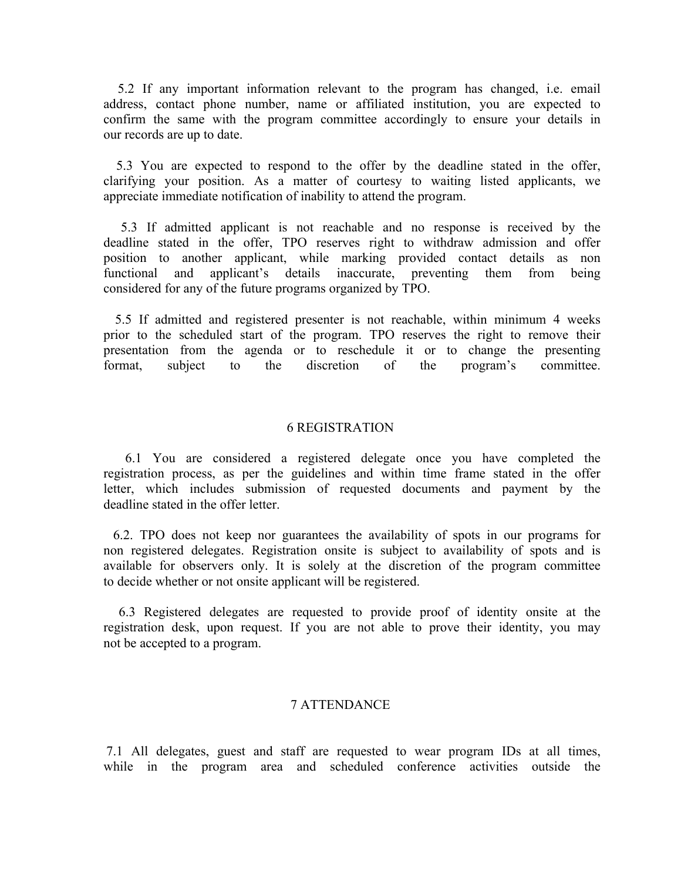5.2 If any important information relevant to the program has changed, i.e. email address, contact phone number, name or affiliated institution, you are expected to confirm the same with the program committee accordingly to ensure your details in our records are up to date.

5.3 You are expected to respond to the offer by the deadline stated in the offer, clarifying your position. As a matter of courtesy to waiting listed applicants, we appreciate immediate notification of inability to attend the program.

5.3 If admitted applicant is not reachable and no response is received by the deadline stated in the offer, TPO reserves right to withdraw admission and offer position to another applicant, while marking provided contact details as non functional and applicant's details inaccurate, preventing them from being considered for any of the future programs organized by TPO.

5.5 If admitted and registered presenter is not reachable, within minimum 4 weeks prior to the scheduled start of the program. TPO reserves the right to remove their presentation from the agenda or to reschedule it or to change the presenting format, subject to the discretion of the program's committee.

#### 6 REGISTRATION

6.1 You are considered a registered delegate once you have completed the registration process, as per the guidelines and within time frame stated in the offer letter, which includes submission of requested documents and payment by the deadline stated in the offer letter.

6.2. TPO does not keep nor guarantees the availability of spots in our programs for non registered delegates. Registration onsite is subject to availability of spots and is available for observers only. It is solely at the discretion of the program committee to decide whether or not onsite applicant will be registered.

6.3 Registered delegates are requested to provide proof of identity onsite at the registration desk, upon request. If you are not able to prove their identity, you may not be accepted to a program.

#### 7 ATTENDANCE

7.1 All delegates, guest and staff are requested to wear program IDs at all times, while in the program area and scheduled conference activities outside the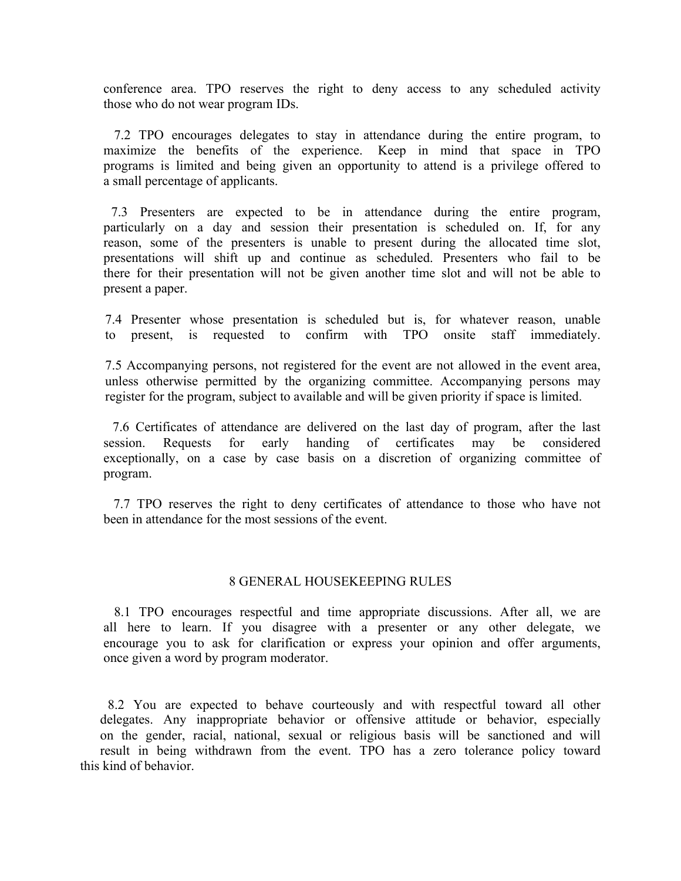conference area. TPO reserves the right to deny access to any scheduled activity those who do not wear program IDs.

7.2 TPO encourages delegates to stay in attendance during the entire program, to maximize the benefits of the experience. Keep in mind that space in TPO programs is limited and being given an opportunity to attend is a privilege offered to a small percentage of applicants.

7.3 Presenters are expected to be in attendance during the entire program, particularly on a day and session their presentation is scheduled on. If, for any reason, some of the presenters is unable to present during the allocated time slot, presentations will shift up and continue as scheduled. Presenters who fail to be there for their presentation will not be given another time slot and will not be able to present a paper.

7.4 Presenter whose presentation is scheduled but is, for whatever reason, unable to present, is requested to confirm with TPO onsite staff immediately.

7.5 Accompanying persons, not registered for the event are not allowed in the event area, unless otherwise permitted by the organizing committee. Accompanying persons may register for the program, subject to available and will be given priority if space is limited.

7.6 Certificates of attendance are delivered on the last day of program, after the last session. Requests for early handing of certificates may be considered exceptionally, on a case by case basis on a discretion of organizing committee of program.

7.7 TPO reserves the right to deny certificates of attendance to those who have not been in attendance for the most sessions of the event.

#### 8 GENERAL HOUSEKEEPING RULES

8.1 TPO encourages respectful and time appropriate discussions. After all, we are all here to learn. If you disagree with a presenter or any other delegate, we encourage you to ask for clarification or express your opinion and offer arguments, once given a word by program moderator.

8.2 You are expected to behave courteously and with respectful toward all other delegates. Any inappropriate behavior or offensive attitude or behavior, especially on the gender, racial, national, sexual or religious basis will be sanctioned and will result in being withdrawn from the event. TPO has a zero tolerance policy toward this kind of behavior.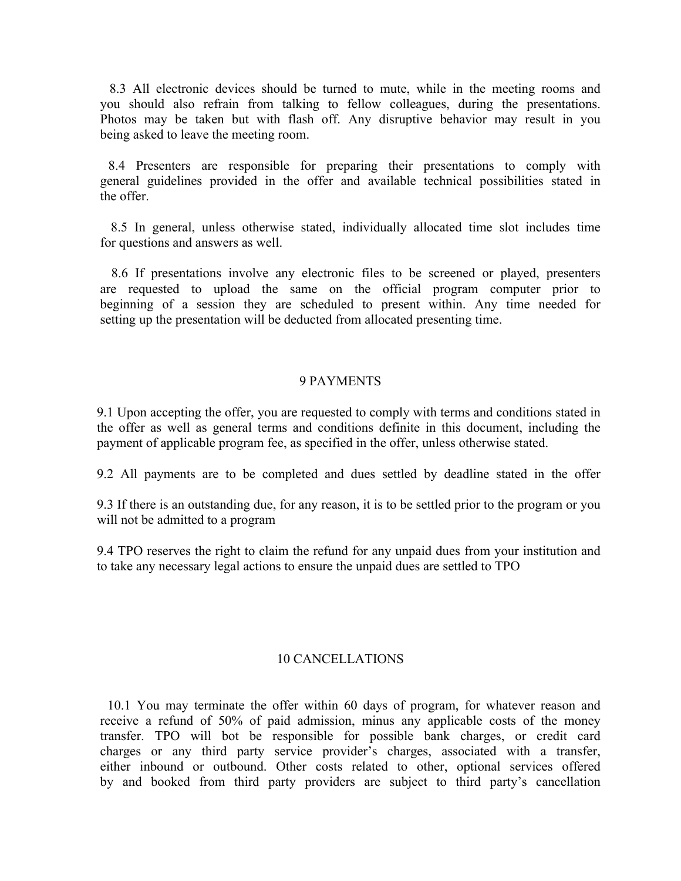8.3 All electronic devices should be turned to mute, while in the meeting rooms and you should also refrain from talking to fellow colleagues, during the presentations. Photos may be taken but with flash off. Any disruptive behavior may result in you being asked to leave the meeting room.

8.4 Presenters are responsible for preparing their presentations to comply with general guidelines provided in the offer and available technical possibilities stated in the offer.

8.5 In general, unless otherwise stated, individually allocated time slot includes time for questions and answers as well.

8.6 If presentations involve any electronic files to be screened or played, presenters are requested to upload the same on the official program computer prior to beginning of a session they are scheduled to present within. Any time needed for setting up the presentation will be deducted from allocated presenting time.

#### 9 PAYMENTS

9.1 Upon accepting the offer, you are requested to comply with terms and conditions stated in the offer as well as general terms and conditions definite in this document, including the payment of applicable program fee, as specified in the offer, unless otherwise stated.

9.2 All payments are to be completed and dues settled by deadline stated in the offer

9.3 If there is an outstanding due, for any reason, it is to be settled prior to the program or you will not be admitted to a program

9.4 TPO reserves the right to claim the refund for any unpaid dues from your institution and to take any necessary legal actions to ensure the unpaid dues are settled to TPO

#### 10 CANCELLATIONS

10.1 You may terminate the offer within 60 days of program, for whatever reason and receive a refund of 50% of paid admission, minus any applicable costs of the money transfer. TPO will bot be responsible for possible bank charges, or credit card charges or any third party service provider's charges, associated with a transfer, either inbound or outbound. Other costs related to other, optional services offered by and booked from third party providers are subject to third party's cancellation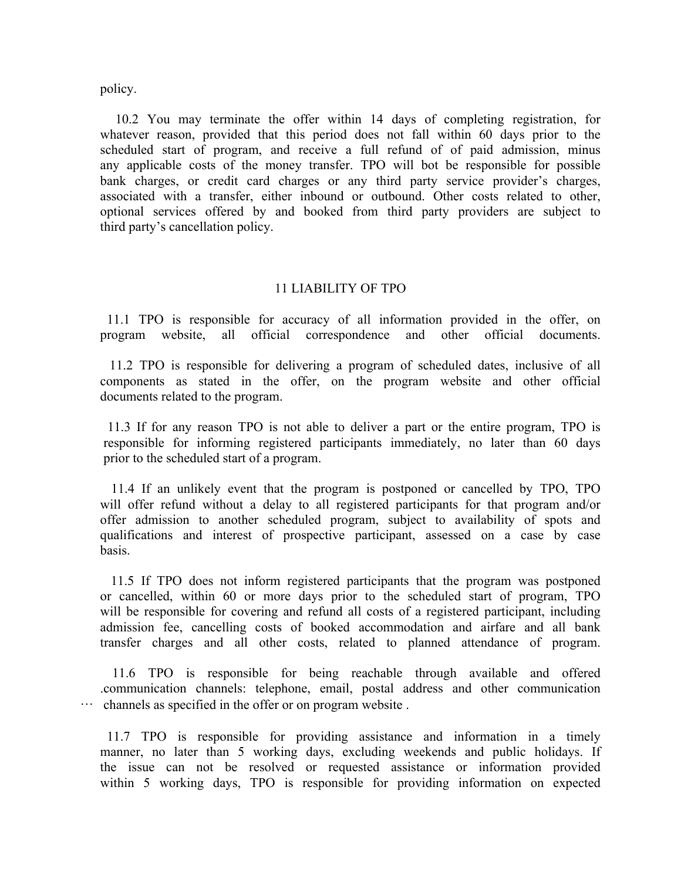policy.

10.2 You may terminate the offer within 14 days of completing registration, for whatever reason, provided that this period does not fall within 60 days prior to the scheduled start of program, and receive a full refund of of paid admission, minus any applicable costs of the money transfer. TPO will bot be responsible for possible bank charges, or credit card charges or any third party service provider's charges, associated with a transfer, either inbound or outbound. Other costs related to other, optional services offered by and booked from third party providers are subject to third party's cancellation policy.

#### 11 LIABILITY OF TPO

11.1 TPO is responsible for accuracy of all information provided in the offer, on program website, all official correspondence and other official documents.

11.2 TPO is responsible for delivering a program of scheduled dates, inclusive of all components as stated in the offer, on the program website and other official documents related to the program.

11.3 If for any reason TPO is not able to deliver a part or the entire program, TPO is responsible for informing registered participants immediately, no later than 60 days prior to the scheduled start of a program.

11.4 If an unlikely event that the program is postponed or cancelled by TPO, TPO will offer refund without a delay to all registered participants for that program and/or offer admission to another scheduled program, subject to availability of spots and qualifications and interest of prospective participant, assessed on a case by case basis.

11.5 If TPO does not inform registered participants that the program was postponed or cancelled, within 60 or more days prior to the scheduled start of program, TPO will be responsible for covering and refund all costs of a registered participant, including admission fee, cancelling costs of booked accommodation and airfare and all bank transfer charges and all other costs, related to planned attendance of program.

11.6 TPO is responsible for being reachable through available and offered .communication channels: telephone, email, postal address and other communication … channels as specified in the offer or on program website .

 11.7 TPO is responsible for providing assistance and information in a timely manner, no later than 5 working days, excluding weekends and public holidays. If the issue can not be resolved or requested assistance or information provided within 5 working days, TPO is responsible for providing information on expected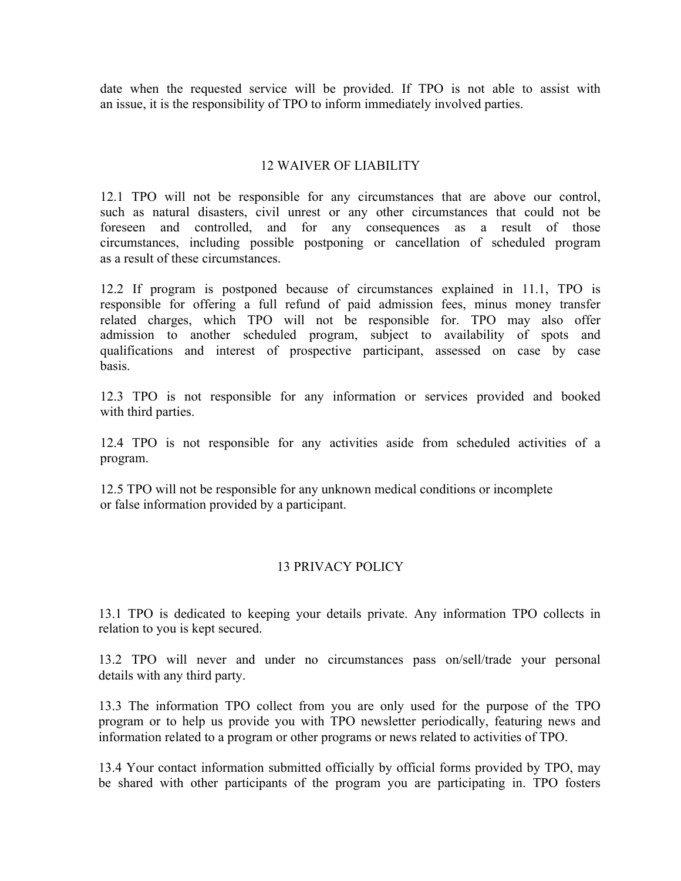date when the requested service will be provided. If TPO is not able to assist with an issue, it is the responsibility of TPO to inform immediately involved parties.

## 12 WAIVER OF LIABILITY

 12.1 TPO will not be responsible for any circumstances that are above our control, such as natural disasters, civil unrest or any other circumstances that could not be foreseen and controlled, and for any consequences as a result of those circumstances, including possible postponing or cancellation of scheduled program as a result of these circumstances.

 12.2 If program is postponed because of circumstances explained in 11.1, TPO is responsible for offering a full refund of paid admission fees, minus money transfer related charges, which TPO will not be responsible for. TPO may also offer admission to another scheduled program, subject to availability of spots and qualifications and interest of prospective participant, assessed on case by case basis.

 12.3 TPO is not responsible for any information or services provided and booked with third parties.

 12.4 TPO is not responsible for any activities aside from scheduled activities of a program.

 12.5 TPO will not be responsible for any unknown medical conditions or incomplete or false information provided by a participant.

## 13 PRIVACY POLICY

13.1 TPO is dedicated to keeping your details private. Any information TPO collects in relation to you is kept secured.

13.2 TPO will never and under no circumstances pass on/sell/trade your personal details with any third party.

13.3 The information TPO collect from you are only used for the purpose of the TPO program or to help us provide you with TPO newsletter periodically, featuring news and information related to a program or other programs or news related to activities of TPO.

13.4 Your contact information submitted officially by official forms provided by TPO, may be shared with other participants of the program you are participating in. TPO fosters